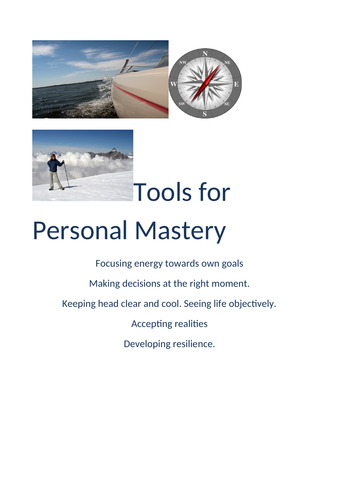



Tools for

## Personal Mastery

Focusing energy towards own goals

Making decisions at the right moment.

Keeping head clear and cool. Seeing life objectively.

Accepting realities

Developing resilience.